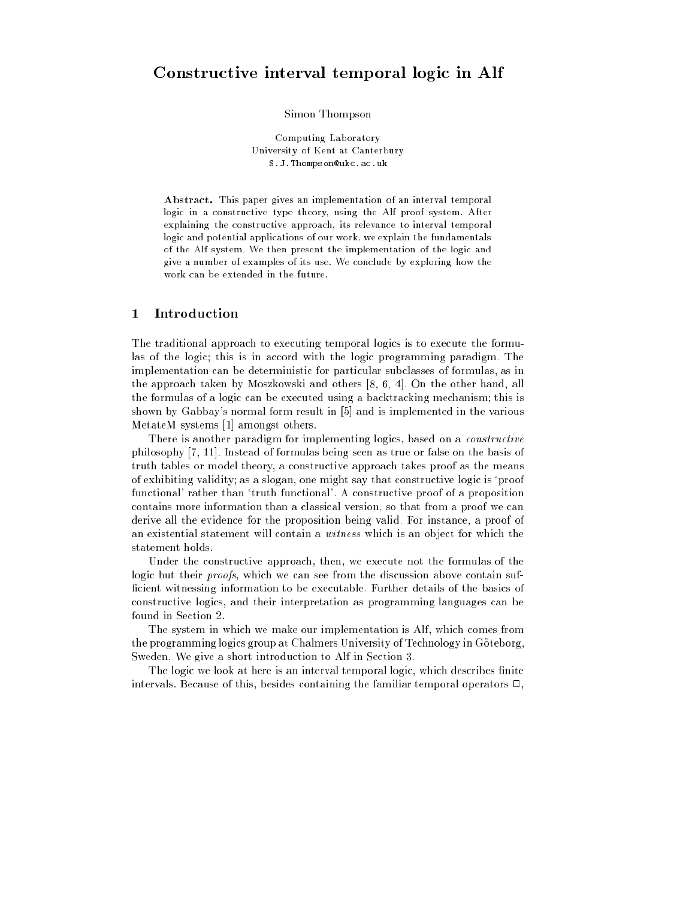# Constructive interval temporal logic in Alf

Simon Thompson

Computing Laboratory University of Kent at Canterbury S.J.Thompson@ukc.ac.uk

Abstract. This paper gives an implementation of an interval temporal logic in a constructive type theory, using the Alf proof system. After explaining the constructive approach, its relevance to interval temporal logic and potential applications of our work, we explain the fundamentals of the Alf system. We then present the implementation of the logic and give a number of examples of its use. We conclude by exploring how the work can be extended in the future.

#### **Introduction**  $\mathbf{1}$

The traditional approach to executing temporal logics is to execute the formulas of the logic; this is in accord with the logic programming paradigm. The implementation can be deterministic for particular subclasses of formulas, as in the approach taken by Moszkowski and others [8, 6, 4]. On the other hand, all the formulas of a logic can be executed using a backtracking mechanism; this is shown by Gabbay's normal form result in [5] and is implemented in the various MetateM systems [1] amongst others.

There is another paradigm for implementing logics, based on a constructive philosophy [7, 11]. Instead of formulas being seen as true or false on the basis of truth tables or model theory, a constructive approach takes proof as the means of exhibiting validity; as a slogan, one might say that constructive logic is `proof functional' rather than 'truth functional'. A constructive proof of a proposition contains more information than a classical version, so that from a proof we can derive all the evidence for the proposition being valid. For instance, a proof of an existential statement will contain a witness which is an object for which the statement holds.

Under the constructive approach, then, we execute not the formulas of the logic but their *proofs*, which we can see from the discussion above contain sufficient witnessing information to be executable. Further details of the basics of constructive logics, and their interpretation as programming languages can be found in Section 2.

The system in which we make our implementation is Alf, which comes from the programming logics group at Chalmers University of Technology in Goteborg, Sweden. We give a short introduction to Alf in Section 3.

The logic we look at here is an interval temporal logic, which describes finite intervals. Because of this, besides containing the familiar temporal operators  $\Box$ ,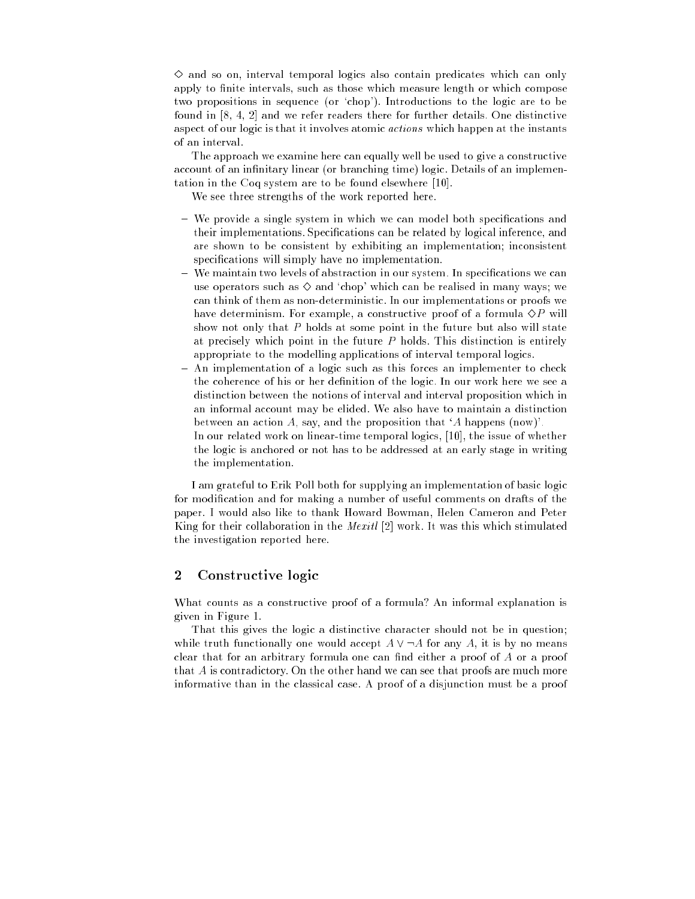$\Diamond$  and so on, interval temporal logics also contain predicates which can only apply to finite intervals, such as those which measure length or which compose two propositions in sequence (or `chop'). Introductions to the logic are to be found in [8, 4, 2] and we refer readers there for further details. One distinctive aspect of our logic is that it involves atomic actions which happen at the instants of an interval.

The approach we examine here can equally well be used to give a constructive account of an infinitary linear (or branching time) logic. Details of an implementation in the Coq system are to be found elsewhere [10].

We see three strengths of the work reported here.

- We provide a single system in which we can model both specifications and their implementations. Specications can be related by logical inference, and are shown to be consistent by exhibiting an implementation; inconsistent specifications will simply have no implementation.
- $-$  We maintain two levels of abstraction in our system. In specifications we can use operators such as  $\diamond$  and 'chop' which can be realised in many ways; we can think of them as non-deterministic. In our implementations or proofs we have determinism. For example, a constructive proof of a formula  $\Diamond P$  will show not only that P holds at some point in the future but also will state at precisely which point in the future  $P$  holds. This distinction is entirely appropriate to the modelling applications of interval temporal logics.
- ${\bf -}$  An implementation of a logic such as this forces an implementer to check the coherence of his or her definition of the logic. In our work here we see a distinction between the notions of interval and interval proposition which in an informal account may be elided. We also have to maintain a distinction between an action A, say, and the proposition that 'A happens (now)'. In our related work on linear-time temporal logics, [10], the issue of whether
	- the logic is anchored or not has to be addressed at an early stage in writing the implementation.

I am grateful to Erik Poll both for supplying an implementation of basic logic for modification and for making a number of useful comments on drafts of the paper. I would also like to thank Howard Bowman, Helen Cameron and Peter King for their collaboration in the *Mexitl* [2] work. It was this which stimulated the investigation reported here.

## 2 Constructive logic

What counts as a constructive proof of a formula? An informal explanation is given in Figure 1.

That this gives the logic a distinctive character should not be in question; while truth functionally one would accept  $A \vee \neg A$  for any A, it is by no means clear that for an arbitrary formula one can find either a proof of  $A$  or a proof that A is contradictory. On the other hand we can see that proofs are much more informative than in the classical case. A proof of a disjunction must be a proof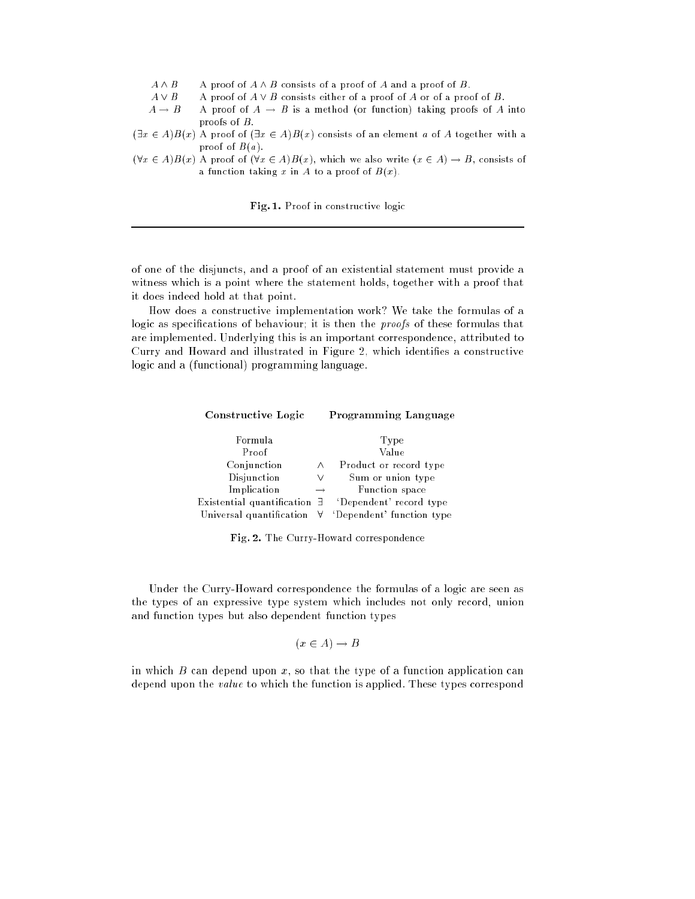- $A \wedge B$  A proof of  $A \wedge B$  consists of a proof of A and a proof of B.
- $A \vee B$  A proof of  $A \vee B$  consists either of a proof of A or of a proof of B.
- $A \rightarrow B$  A proof of  $A \rightarrow B$  is a method (or function) taking proofs of A into proofs of B.
- $(\exists x \in A)B(x)$  A proof of  $(\exists x \in A)B(x)$  consists of an element a of A together with a proof of  $B(a)$ .
- $(\forall x \in A) B(x)$  A proof of  $(\forall x \in A) B(x)$ , which we also write  $(x \in A) \rightarrow B$ , consists of a function taking x in A to a proof of  $B(x)$ .

Fig. 1. Proof in constructive logic

of one of the disjuncts, and a proof of an existential statement must provide a witness which is a point where the statement holds, together with a proof that it does indeed hold at that point.

How does a constructive implementation work? We take the formulas of a logic as specifications of behaviour; it is then the *proofs* of these formulas that are implemented. Underlying this is an important correspondence, attributed to Curry and Howard and illustrated in Figure 2, which identifies a constructive logic and a (functional) programming language.

| Constructive Logic                   |   | Programming Language                                         |
|--------------------------------------|---|--------------------------------------------------------------|
| Formula                              |   | Type                                                         |
| Proof                                |   | Value                                                        |
| Conjunction                          | Λ | Product or record type                                       |
| Disjunction                          | V | Sum or union type                                            |
| Implication                          |   | Function space                                               |
| Existential quantification $\exists$ |   | 'Dependent' record type                                      |
|                                      |   | Universal quantification $\forall$ 'Dependent' function type |

Fig. 2. The Curry-Howard correspondence

Under the Curry-Howard correspondence the formulas of a logic are seen as the types of an expressive type system which includes not only record, union and function types but also dependent function types

$$
(x \in A) \to B
$$

in which  $B$  can depend upon  $x$ , so that the type of a function application can depend upon the value to which the function is applied. These types correspond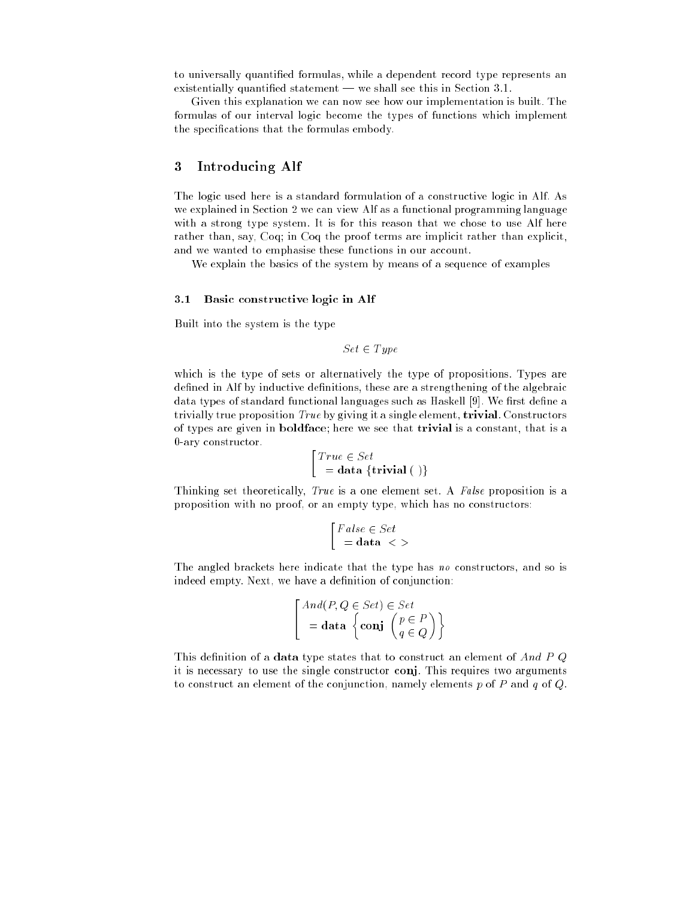to universally quantied formulas, while a dependent record type represents an existentially quantified statement  $-$  we shall see this in Section 3.1.

Given this explanation we can now see how our implementation is built. The formulas of our interval logic become the types of functions which implement the specications that the formulas embody.

#### 3 Introducing Alf

The logic used here is a standard formulation of a constructive logic in Alf. As we explained in Section 2 we can view Alf as a functional programming language with a strong type system. It is for this reason that we chose to use Alf here rather than, say, Coq; in Coq the proof terms are implicit rather than explicit, and we wanted to emphasise these functions in our account.

We explain the basics of the system by means of a sequence of examples

#### 3.1 Basic constructive logic in Alf

Built into the system is the type

 $Set \in Type$ 

which is the type of sets or alternatively the type of propositions. Types are defined in Alf by inductive definitions, these are a strengthening of the algebraic data types of standard functional languages such as Haskell [9]. We first define a trivially true proposition True by giving it a single element, trivial. Constructors of types are given in boldface; here we see that trivial is a constant, that is a 0-ary constructor.

> $True \in Set$ = data ftrivial ( )g

Thinking set theoretically, True is a one element set. A False proposition is a proposition with no proof, or an empty type, which has no constructors:

$$
\begin{cases}\nFalse \in Set \\
= data \leq \gt
$$

The angled brackets here indicate that the type has no constructors, and so is indeed empty. Next, we have a definition of conjunction:

$$
\begin{bmatrix} And(P, Q \in Set) \in Set \\ = \text{data } \left\{ \text{conj} \begin{pmatrix} p \in P \\ q \in Q \end{pmatrix} \right\}
$$

This definition of a data type states that to construct an element of And  $P$   $Q$ it is necessary to use the single constructor conj. This requires two arguments to construct an element of the conjunction, namely elements  $p$  of  $P$  and  $q$  of  $Q$ .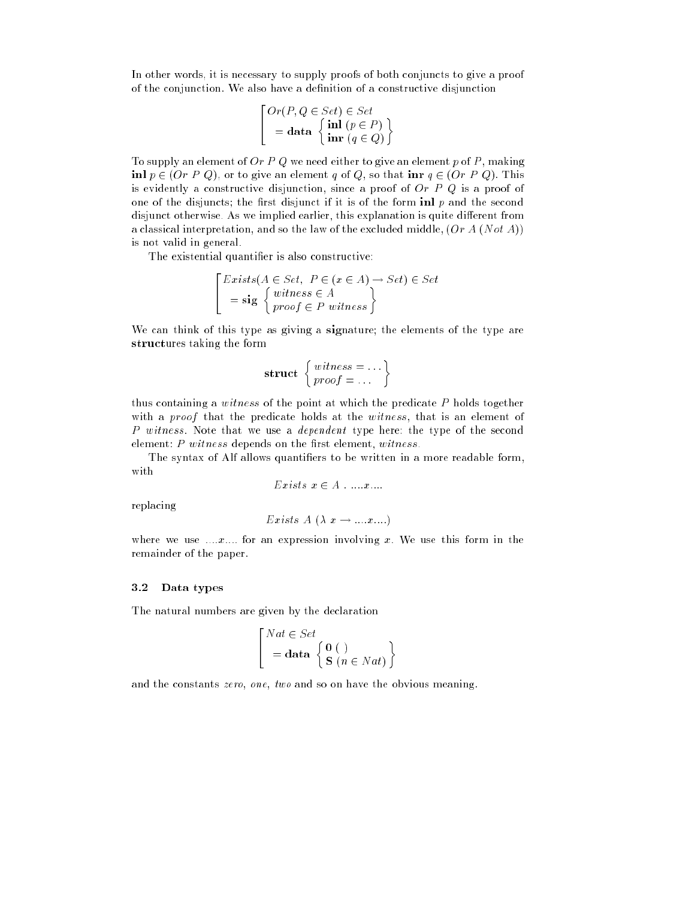In other words, it is necessary to supply proofs of both conjuncts to give a proof of the conjunction. We also have a definition of a constructive disjunction

$$
Or(P, Q \in Set) \in Set
$$
  
= data  $\left\{ \text{inl} (p \in P) \atop \text{inr} (q \in Q) \right\}$ 

To supply an element of  $\overline{O}r$  P Q we need either to give an element p of P, making inl  $p \in (Or P Q)$ , or to give an element q of Q, so that inr  $q \in (Or P Q)$ . This is evidently a constructive disjunction, since a proof of Or P Q is a proof of one of the disjuncts; the first disjunct if it is of the form  $\text{inl } p$  and the second disjunct otherwise. As we implied earlier, this explanation is quite different from a classical interpretation, and so the law of the excluded middle,  $(Or\ A\ (Not\ A))$ is not valid in general.

The existential quantifier is also constructive:

$$
\begin{bmatrix} Exists(A \in Set, P \in (x \in A) \rightarrow Set) \in Set \\ = sig \begin{Bmatrix} witness \in A \\ proof \in P \text{ witness} \end{Bmatrix}
$$

We can think of this type as giving a signature; the elements of the type are structures taking the form

$$
struct \begin{Bmatrix} witness = \dots \\ proof = \dots \end{Bmatrix}
$$

thus containing a witness of the point at which the predicate P holds together with a *proof* that the predicate holds at the *witness*, that is an element of P witness. Note that we use a *dependent* type here: the type of the second element:  $P \text{ witness depends on the first element, witness.}$ 

The syntax of Alf allows quantifiers to be written in a more readable form, with

$$
Exists \ x \in A \ \ldots \ x \ldots
$$

replacing

$$
E x i s t s A (\lambda x \rightarrow \dots x \dots)
$$

where we use  $\dots x \dots$  for an expression involving x. We use this form in the remainder of the paper.

### 3.2 Data types

The natural numbers are given by the declaration

$$
\begin{bmatrix} Nat \in Set \\ = \mathbf{data} \left\{ \begin{array}{l} \mathbf{0} \end{array} \right. \\ \mathbf{S} \ (n \in Nat) \end{bmatrix}
$$

and the constants zero, one, two and so on have the obvious meaning.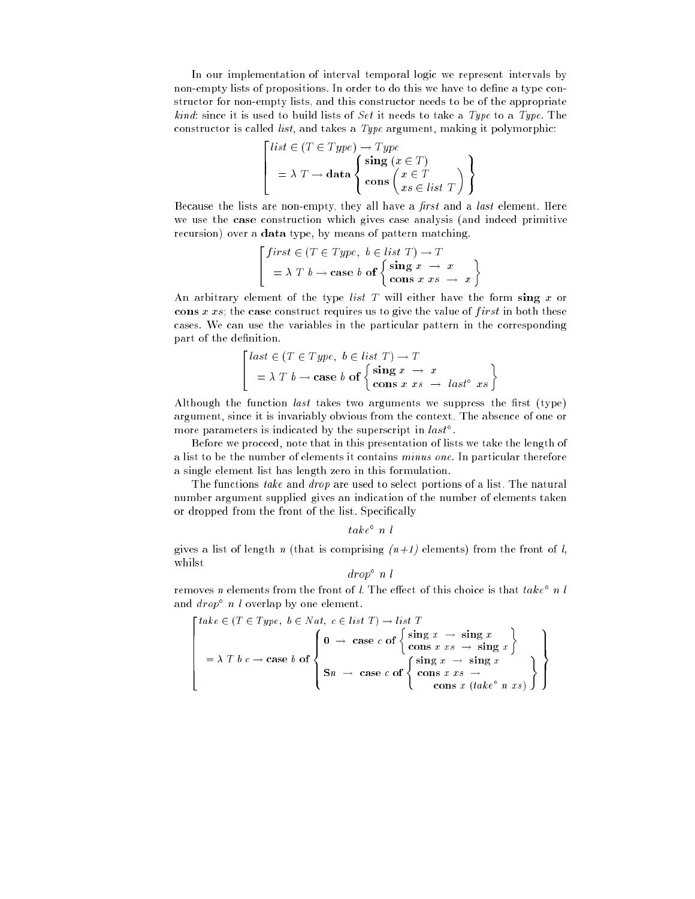In our implementation of interval temporal logic we represent intervals by non-empty lists of propositions. In order to do this we have to define a type constructor for non-empty lists, and this constructor needs to be of the appropriate kind: since it is used to build lists of  $Set$  it needs to take a Type to a Type. The constructor is called list, and takes a Type argument, making it polymorphic:

$$
\begin{bmatrix}\nlist \in (T \in Type) \rightarrow Type \\
= \lambda \ T \rightarrow \mathbf{data} \begin{cases}\n\text{sing } (x \in T) \\
\text{cons } (x \in T) \\
x \in List \ T\n\end{cases}\n\end{bmatrix}
$$

Because the lists are non-empty, they all have a  $first$  and a *last* element. Here we use the case construction which gives case analysis (and indeed primitive recursion) over a data type, by means of pattern matching.

$$
\begin{bmatrix} first \in (T \in Type, \ b \in list \ T) \to T \\ = \lambda \ T \ b \to \ \text{case} \ b \ \text{of} \begin{Bmatrix} \sin g \ x \to \ x \\ \cos x \ x \ s \to \ x \end{Bmatrix}
$$

An arbitrary element of the type *list*  $T$  will either have the form sing  $x$  or cons x xs; the case construct requires us to give the value of first in both these cases. We can use the variables in the particular pattern in the corresponding part of the definition.

$$
\begin{bmatrix} last \in (T \in Type, \ b \in list \ T) \to T \\ = \lambda \ T \ b \to \mathbf{case} \ b \ \mathbf{of} \begin{Bmatrix} \mathbf{sing} \ x \to \ x \\ \mathbf{cons} \ x \ xs \ \to \ last^{\circ} \ xs \end{Bmatrix}
$$

Although the function  $last$  takes two arguments we suppress the first (type) argument, since it is invariably obvious from the context. The absence of one or more parameters is indicated by the superscript in last .

Before we proceed, note that in this presentation of lists we take the length of a list to be the number of elements it contains minus one. In particular therefore a single element list has length zero in this formulation.

The functions take and drop are used to select portions of a list. The natural number argument supplied gives an indication of the number of elements taken or dropped from the front of the list. Specifically

take n l

gives a list of length n (that is comprising  $(n+1)$  elements) from the front of l, whilst

drop n l

removes n elements from the front of  $t$ . The effect of this choice is that  $\iota a \kappa e^+$  n  $\iota$ and drop n l overlap by one element.

$$
\begin{bmatrix}\n\text{take } \in (T \in Type, \ b \in Nat, \ c \in list \ T) \rightarrow \text{list } T \\
= \lambda \ T \ b \ c \rightarrow \text{case } b \text{ of } \begin{Bmatrix}\n0 \to \text{case } c \text{ of } \begin{Bmatrix}\n\text{sing } x \to \text{sing } x \\
\text{cons } x \ x \ s \to \text{sing } x\n\end{Bmatrix} \\
\text{sn } \to \text{case } c \text{ of } \begin{Bmatrix}\n\text{sing } x \to \text{sing } x \\
\text{cons } x \ x \ s \to \\
\text{cons } x \ (take^{\circ} \ n \ x s)\n\end{Bmatrix}\n\end{bmatrix}
$$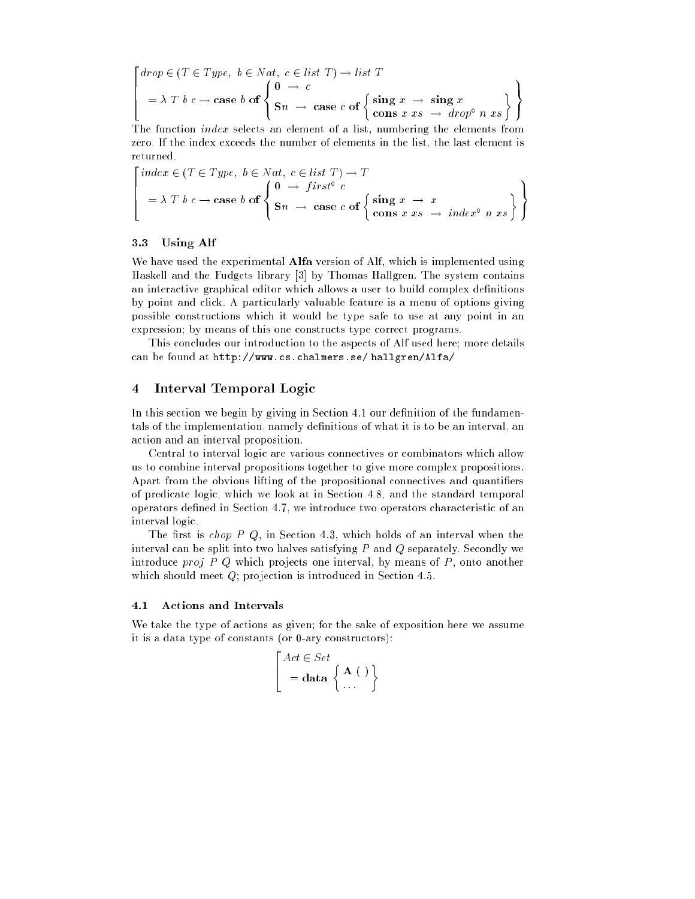$$
\begin{bmatrix} drop \in (T \in Type, \ b \in Nat, \ c \in list \ T) \rightarrow list \ T \\ = \lambda \ T \ b \ c \rightarrow case \ b \ of \begin{Bmatrix} 0 \rightarrow c \\ Sn \rightarrow case \ c \ of \begin{Bmatrix} sing \ x \rightarrow sing \ x \\ cons \ x \ xs \rightarrow drop^{\circ} \ n \ xs \end{Bmatrix} \end{bmatrix}
$$

The function *index* selects an element of a list, numbering the elements from zero. If the index exceeds the number of elements in the list, the last element is returned.

$$
\begin{bmatrix} index \in (T \in Type, \ b \in Nat, \ c \in list \ T) \to T \\ = \lambda \ T \ b \ c \to \ \text{case} \ b \ \text{of} \begin{Bmatrix} 0 \ \to \ first^{\circ} \ c \\ \text{S}n \ \to \ \text{case} \ c \ \text{of} \end{Bmatrix} \begin{Bmatrix} \text{sing} \ x \to \ x \\ \text{cons} \ x \ x \ s \ \to \ \text{index}^{\circ} \ n \ x \ s \end{Bmatrix} \end{bmatrix}
$$

### 3.3 Using Alf

We have used the experimental Alfa version of Alf, which is implemented using Haskell and the Fudgets library [3] by Thomas Hallgren. The system contains an interactive graphical editor which allows a user to build complex definitions by point and click. A particularly valuable feature is a menu of options giving possible constructions which it would be type safe to use at any point in an expression; by means of this one constructs type correct programs.

This concludes our introduction to the aspects of Alf used here; more details can be found at http://www.cs.chalmers.se/ hallgren/Alfa/

# 4 Interval Temporal Logic

In this section we begin by giving in Section 4.1 our definition of the fundamentals of the implementation, namely definitions of what it is to be an interval, an action and an interval proposition.

Central to interval logic are various connectives or combinators which allow us to combine interval propositions together to give more complex propositions. Apart from the obvious lifting of the propositional connectives and quantifiers of predicate logic, which we look at in Section 4.8, and the standard temporal operators defined in Section 4.7, we introduce two operators characteristic of an interval logic.

The first is chop  $P$   $Q$ , in Section 4.3, which holds of an interval when the interval can be split into two halves satisfying  $P$  and  $Q$  separately. Secondly we introduce *proj P Q* which projects one interval, by means of  $P$ , onto another which should meet Q; projection is introduced in Section 4.5.

### 4.1 Actions and Intervals

We take the type of actions as given; for the sake of exposition here we assume it is a data type of constants (or 0-ary constructors):

$$
\begin{bmatrix} Act \in Set \\ = \mathbf{data} \left\{ \mathbf{A} \cdot (\ ) \right\} \end{bmatrix}
$$